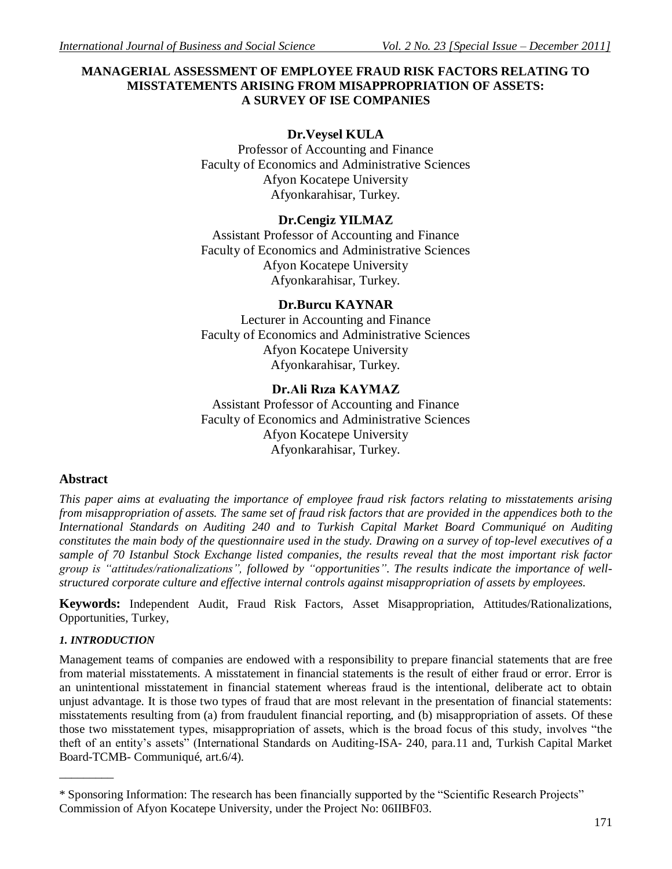# **MANAGERIAL ASSESSMENT OF EMPLOYEE FRAUD RISK FACTORS RELATING TO MISSTATEMENTS ARISING FROM MISAPPROPRIATION OF ASSETS: A SURVEY OF ISE COMPANIES**

# **Dr.Veysel KULA**

Professor of Accounting and Finance Faculty of Economics and Administrative Sciences Afyon Kocatepe University Afyonkarahisar, Turkey.

# **Dr.Cengiz YILMAZ**

Assistant Professor of Accounting and Finance Faculty of Economics and Administrative Sciences Afyon Kocatepe University Afyonkarahisar, Turkey.

# **Dr.Burcu KAYNAR**

Lecturer in Accounting and Finance Faculty of Economics and Administrative Sciences Afyon Kocatepe University Afyonkarahisar, Turkey.

# **Dr.Ali Rıza KAYMAZ**

Assistant Professor of Accounting and Finance Faculty of Economics and Administrative Sciences Afyon Kocatepe University Afyonkarahisar, Turkey.

## **Abstract**

*This paper aims at evaluating the importance of employee fraud risk factors relating to misstatements arising from misappropriation of assets. The same set of fraud risk factors that are provided in the appendices both to the International Standards on Auditing 240 and to Turkish Capital Market Board Communiqué on Auditing constitutes the main body of the questionnaire used in the study. Drawing on a survey of top-level executives of a sample of 70 Istanbul Stock Exchange listed companies, the results reveal that the most important risk factor group is "attitudes/rationalizations", followed by "opportunities". The results indicate the importance of wellstructured corporate culture and effective internal controls against misappropriation of assets by employees.* 

**Keywords:** Independent Audit, Fraud Risk Factors, Asset Misappropriation, Attitudes/Rationalizations, Opportunities, Turkey,

## *1. INTRODUCTION*

\_\_\_\_\_\_\_\_\_

Management teams of companies are endowed with a responsibility to prepare financial statements that are free from material misstatements. A misstatement in financial statements is the result of either fraud or error. Error is an unintentional misstatement in financial statement whereas fraud is the intentional, deliberate act to obtain unjust advantage. It is those two types of fraud that are most relevant in the presentation of financial statements: misstatements resulting from (a) from fraudulent financial reporting, and (b) misappropriation of assets. Of these those two misstatement types, misappropriation of assets, which is the broad focus of this study, involves "the theft of an entity's assets" (International Standards on Auditing-ISA- 240, para.11 and, Turkish Capital Market Board-TCMB- Communiqué, art.6/4).

<sup>\*</sup> Sponsoring Information: The research has been financially supported by the "Scientific Research Projects" Commission of Afyon Kocatepe University, under the Project No: 06IIBF03.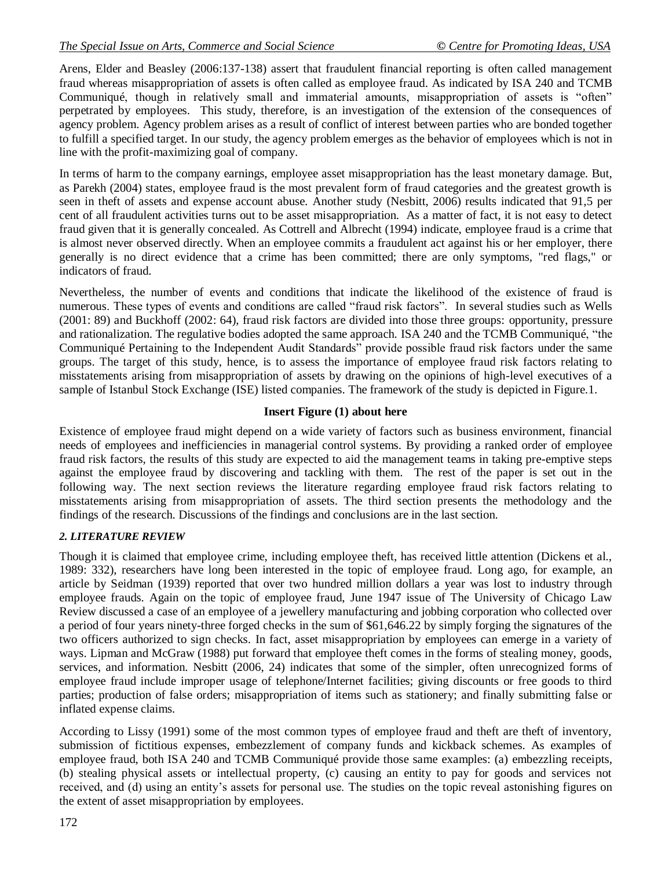Arens, Elder and Beasley (2006:137-138) assert that fraudulent financial reporting is often called management fraud whereas misappropriation of assets is often called as employee fraud. As indicated by ISA 240 and TCMB Communiqué, though in relatively small and immaterial amounts, misappropriation of assets is "often" perpetrated by employees. This study, therefore, is an investigation of the extension of the consequences of agency problem. Agency problem arises as a result of conflict of interest between parties who are bonded together to fulfill a specified target. In our study, the agency problem emerges as the behavior of employees which is not in line with the profit-maximizing goal of company.

In terms of harm to the company earnings, employee asset misappropriation has the least monetary damage. But, as Parekh (2004) states, employee fraud is the most prevalent form of fraud categories and the greatest growth is seen in theft of assets and expense account abuse. Another study (Nesbitt, 2006) results indicated that 91,5 per cent of all fraudulent activities turns out to be asset misappropriation. As a matter of fact, it is not easy to detect fraud given that it is generally concealed. As Cottrell and Albrecht (1994) indicate, employee fraud is a crime that is almost never observed directly. When an employee commits a fraudulent act against his or her employer, there generally is no direct evidence that a crime has been committed; there are only symptoms, "red flags," or indicators of fraud.

Nevertheless, the number of events and conditions that indicate the likelihood of the existence of fraud is numerous. These types of events and conditions are called "fraud risk factors". In several studies such as Wells (2001: 89) and Buckhoff (2002: 64), fraud risk factors are divided into those three groups: opportunity, pressure and rationalization. The regulative bodies adopted the same approach. ISA 240 and the TCMB Communiqué, "the Communiqué Pertaining to the Independent Audit Standards" provide possible fraud risk factors under the same groups. The target of this study, hence, is to assess the importance of employee fraud risk factors relating to misstatements arising from misappropriation of assets by drawing on the opinions of high-level executives of a sample of Istanbul Stock Exchange (ISE) listed companies. The framework of the study is depicted in Figure.1.

### **Insert Figure (1) about here**

Existence of employee fraud might depend on a wide variety of factors such as business environment, financial needs of employees and inefficiencies in managerial control systems. By providing a ranked order of employee fraud risk factors, the results of this study are expected to aid the management teams in taking pre-emptive steps against the employee fraud by discovering and tackling with them. The rest of the paper is set out in the following way. The next section reviews the literature regarding employee fraud risk factors relating to misstatements arising from misappropriation of assets. The third section presents the methodology and the findings of the research. Discussions of the findings and conclusions are in the last section.

## *2. LITERATURE REVIEW*

Though it is claimed that employee crime, including employee theft, has received little attention (Dickens et al., 1989: 332), researchers have long been interested in the topic of employee fraud. Long ago, for example, an article by Seidman (1939) reported that over two hundred million dollars a year was lost to industry through employee frauds. Again on the topic of employee fraud, June 1947 issue of The University of Chicago Law Review discussed a case of an employee of a jewellery manufacturing and jobbing corporation who collected over a period of four years ninety-three forged checks in the sum of \$61,646.22 by simply forging the signatures of the two officers authorized to sign checks. In fact, asset misappropriation by employees can emerge in a variety of ways. Lipman and McGraw (1988) put forward that employee theft comes in the forms of stealing money, goods, services, and information. Nesbitt (2006, 24) indicates that some of the simpler, often unrecognized forms of employee fraud include improper usage of telephone/Internet facilities; giving discounts or free goods to third parties; production of false orders; misappropriation of items such as stationery; and finally submitting false or inflated expense claims.

According to Lissy (1991) some of the most common types of employee fraud and theft are theft of inventory, submission of fictitious expenses, embezzlement of company funds and kickback schemes. As examples of employee fraud, both ISA 240 and TCMB Communiqué provide those same examples: (a) embezzling receipts, (b) stealing physical assets or intellectual property, (c) causing an entity to pay for goods and services not received, and (d) using an entity's assets for personal use. The studies on the topic reveal astonishing figures on the extent of asset misappropriation by employees.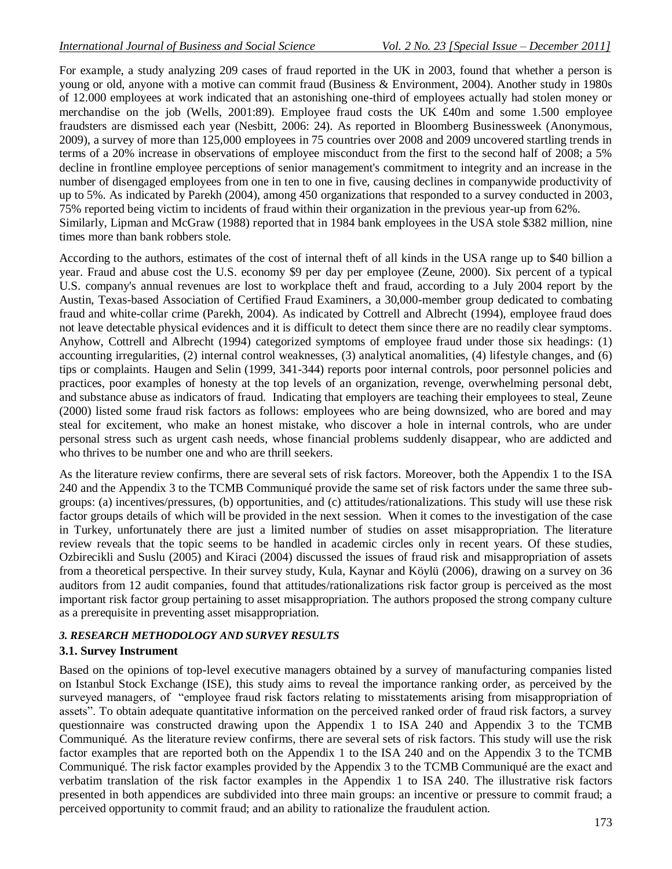For example, a study analyzing 209 cases of fraud reported in the UK in 2003, found that whether a person is young or old, anyone with a motive can commit fraud (Business & Environment, 2004). Another study in 1980s of 12.000 employees at work indicated that an astonishing one-third of employees actually had stolen money or merchandise on the job (Wells, 2001:89). Employee fraud costs the UK £40m and some 1.500 employee fraudsters are dismissed each year (Nesbitt, 2006: 24). As reported in Bloomberg Businessweek (Anonymous, 2009), a survey of more than 125,000 employees in 75 countries over 2008 and 2009 uncovered startling trends in terms of a 20% increase in observations of employee misconduct from the first to the second half of 2008; a 5% decline in frontline employee perceptions of senior management's commitment to integrity and an increase in the number of disengaged employees from one in ten to one in five, causing declines in companywide productivity of up to 5%. As indicated by Parekh (2004), among 450 organizations that responded to a survey conducted in 2003, 75% reported being victim to incidents of fraud within their organization in the previous year-up from 62%. Similarly, Lipman and McGraw (1988) reported that in 1984 bank employees in the USA stole \$382 million, nine times more than bank robbers stole.

According to the authors, estimates of the cost of internal theft of all kinds in the USA range up to \$40 billion a year. Fraud and abuse cost the U.S. economy \$9 per day per employee (Zeune, 2000). Six percent of a typical U.S. company's annual revenues are lost to workplace theft and fraud, according to a July 2004 report by the Austin, Texas-based Association of Certified Fraud Examiners, a 30,000-member group dedicated to combating fraud and white-collar crime (Parekh, 2004). As indicated by Cottrell and Albrecht (1994), employee fraud does not leave detectable physical evidences and it is difficult to detect them since there are no readily clear symptoms. Anyhow, Cottrell and Albrecht (1994) categorized symptoms of employee fraud under those six headings: (1) accounting irregularities, (2) internal control weaknesses, (3) analytical anomalities, (4) lifestyle changes, and (6) tips or complaints. Haugen and Selin (1999, 341-344) reports poor internal controls, poor personnel policies and practices, poor examples of honesty at the top levels of an organization, revenge, overwhelming personal debt, and substance abuse as indicators of fraud. Indicating that employers are teaching their employees to steal, Zeune (2000) listed some fraud risk factors as follows: employees who are being downsized, who are bored and may steal for excitement, who make an honest mistake, who discover a hole in internal controls, who are under personal stress such as urgent cash needs, whose financial problems suddenly disappear, who are addicted and who thrives to be number one and who are thrill seekers.

As the literature review confirms, there are several sets of risk factors. Moreover, both the Appendix 1 to the ISA 240 and the Appendix 3 to the TCMB Communiqué provide the same set of risk factors under the same three subgroups: (a) incentives/pressures, (b) opportunities, and (c) attitudes/rationalizations. This study will use these risk factor groups details of which will be provided in the next session. When it comes to the investigation of the case in Turkey, unfortunately there are just a limited number of studies on asset misappropriation. The literature review reveals that the topic seems to be handled in academic circles only in recent years. Of these studies, Ozbirecikli and Suslu (2005) and Kiraci (2004) discussed the issues of fraud risk and misappropriation of assets from a theoretical perspective. In their survey study, Kula, Kaynar and Köylü (2006), drawing on a survey on 36 auditors from 12 audit companies, found that attitudes/rationalizations risk factor group is perceived as the most important risk factor group pertaining to asset misappropriation. The authors proposed the strong company culture as a prerequisite in preventing asset misappropriation.

### *3. RESEARCH METHODOLOGY AND SURVEY RESULTS*

### **3.1. Survey Instrument**

Based on the opinions of top-level executive managers obtained by a survey of manufacturing companies listed on Istanbul Stock Exchange (ISE), this study aims to reveal the importance ranking order, as perceived by the surveyed managers, of "employee fraud risk factors relating to misstatements arising from misappropriation of assets". To obtain adequate quantitative information on the perceived ranked order of fraud risk factors, a survey questionnaire was constructed drawing upon the Appendix 1 to ISA 240 and Appendix 3 to the TCMB Communiqué. As the literature review confirms, there are several sets of risk factors. This study will use the risk factor examples that are reported both on the Appendix 1 to the ISA 240 and on the Appendix 3 to the TCMB Communiqué. The risk factor examples provided by the Appendix 3 to the TCMB Communiqué are the exact and verbatim translation of the risk factor examples in the Appendix 1 to ISA 240. The illustrative risk factors presented in both appendices are subdivided into three main groups: an incentive or pressure to commit fraud; a perceived opportunity to commit fraud; and an ability to rationalize the fraudulent action.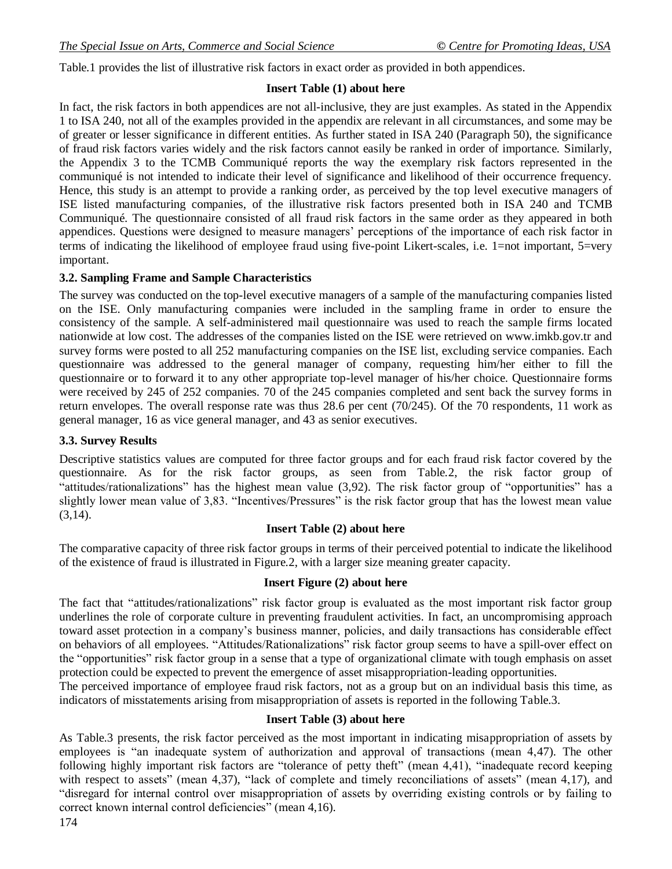Table.1 provides the list of illustrative risk factors in exact order as provided in both appendices.

### **Insert Table (1) about here**

In fact, the risk factors in both appendices are not all-inclusive, they are just examples. As stated in the Appendix 1 to ISA 240, not all of the examples provided in the appendix are relevant in all circumstances, and some may be of greater or lesser significance in different entities. As further stated in ISA 240 (Paragraph 50), the significance of fraud risk factors varies widely and the risk factors cannot easily be ranked in order of importance. Similarly, the Appendix 3 to the TCMB Communiqué reports the way the exemplary risk factors represented in the communiqué is not intended to indicate their level of significance and likelihood of their occurrence frequency. Hence, this study is an attempt to provide a ranking order, as perceived by the top level executive managers of ISE listed manufacturing companies, of the illustrative risk factors presented both in ISA 240 and TCMB Communiqué. The questionnaire consisted of all fraud risk factors in the same order as they appeared in both appendices. Questions were designed to measure managers' perceptions of the importance of each risk factor in terms of indicating the likelihood of employee fraud using five-point Likert-scales, i.e. 1=not important, 5=very important.

## **3.2. Sampling Frame and Sample Characteristics**

The survey was conducted on the top-level executive managers of a sample of the manufacturing companies listed on the ISE. Only manufacturing companies were included in the sampling frame in order to ensure the consistency of the sample. A self-administered mail questionnaire was used to reach the sample firms located nationwide at low cost. The addresses of the companies listed on the ISE were retrieved on www.imkb.gov.tr and survey forms were posted to all 252 manufacturing companies on the ISE list, excluding service companies. Each questionnaire was addressed to the general manager of company, requesting him/her either to fill the questionnaire or to forward it to any other appropriate top-level manager of his/her choice. Questionnaire forms were received by 245 of 252 companies. 70 of the 245 companies completed and sent back the survey forms in return envelopes. The overall response rate was thus 28.6 per cent (70/245). Of the 70 respondents, 11 work as general manager, 16 as vice general manager, and 43 as senior executives.

# **3.3. Survey Results**

Descriptive statistics values are computed for three factor groups and for each fraud risk factor covered by the questionnaire. As for the risk factor groups, as seen from Table.2, the risk factor group of "attitudes/rationalizations" has the highest mean value (3,92). The risk factor group of "opportunities" has a slightly lower mean value of 3,83. "Incentives/Pressures" is the risk factor group that has the lowest mean value  $(3,14)$ .

## **Insert Table (2) about here**

The comparative capacity of three risk factor groups in terms of their perceived potential to indicate the likelihood of the existence of fraud is illustrated in Figure.2, with a larger size meaning greater capacity.

## **Insert Figure (2) about here**

The fact that "attitudes/rationalizations" risk factor group is evaluated as the most important risk factor group underlines the role of corporate culture in preventing fraudulent activities. In fact, an uncompromising approach toward asset protection in a company's business manner, policies, and daily transactions has considerable effect on behaviors of all employees. "Attitudes/Rationalizations" risk factor group seems to have a spill-over effect on the "opportunities" risk factor group in a sense that a type of organizational climate with tough emphasis on asset protection could be expected to prevent the emergence of asset misappropriation-leading opportunities.

The perceived importance of employee fraud risk factors, not as a group but on an individual basis this time, as indicators of misstatements arising from misappropriation of assets is reported in the following Table.3.

### **Insert Table (3) about here**

As Table.3 presents, the risk factor perceived as the most important in indicating misappropriation of assets by employees is "an inadequate system of authorization and approval of transactions (mean 4,47). The other following highly important risk factors are "tolerance of petty theft" (mean 4,41), "inadequate record keeping with respect to assets" (mean 4,37), "lack of complete and timely reconciliations of assets" (mean 4,17), and "disregard for internal control over misappropriation of assets by overriding existing controls or by failing to correct known internal control deficiencies" (mean 4,16).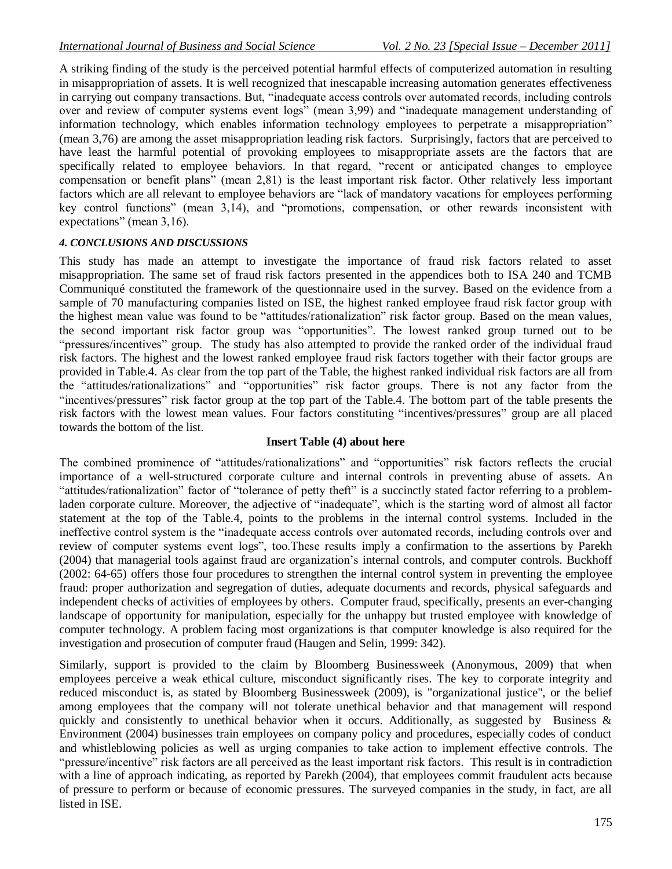A striking finding of the study is the perceived potential harmful effects of computerized automation in resulting in misappropriation of assets. It is well recognized that inescapable increasing automation generates effectiveness in carrying out company transactions. But, "inadequate access controls over automated records, including controls over and review of computer systems event logs" (mean 3,99) and "inadequate management understanding of information technology, which enables information technology employees to perpetrate a misappropriation" (mean 3,76) are among the asset misappropriation leading risk factors. Surprisingly, factors that are perceived to have least the harmful potential of provoking employees to misappropriate assets are the factors that are specifically related to employee behaviors. In that regard, "recent or anticipated changes to employee compensation or benefit plans" (mean 2,81) is the least important risk factor. Other relatively less important factors which are all relevant to employee behaviors are "lack of mandatory vacations for employees performing key control functions" (mean 3,14), and "promotions, compensation, or other rewards inconsistent with expectations" (mean 3,16).

#### *4. CONCLUSIONS AND DISCUSSIONS*

This study has made an attempt to investigate the importance of fraud risk factors related to asset misappropriation. The same set of fraud risk factors presented in the appendices both to ISA 240 and TCMB Communiqué constituted the framework of the questionnaire used in the survey. Based on the evidence from a sample of 70 manufacturing companies listed on ISE, the highest ranked employee fraud risk factor group with the highest mean value was found to be "attitudes/rationalization" risk factor group. Based on the mean values, the second important risk factor group was "opportunities". The lowest ranked group turned out to be "pressures/incentives" group. The study has also attempted to provide the ranked order of the individual fraud risk factors. The highest and the lowest ranked employee fraud risk factors together with their factor groups are provided in Table.4. As clear from the top part of the Table, the highest ranked individual risk factors are all from the "attitudes/rationalizations" and "opportunities" risk factor groups. There is not any factor from the "incentives/pressures" risk factor group at the top part of the Table.4. The bottom part of the table presents the risk factors with the lowest mean values. Four factors constituting "incentives/pressures" group are all placed towards the bottom of the list.

### **Insert Table (4) about here**

The combined prominence of "attitudes/rationalizations" and "opportunities" risk factors reflects the crucial importance of a well-structured corporate culture and internal controls in preventing abuse of assets. An "attitudes/rationalization" factor of "tolerance of petty theft" is a succinctly stated factor referring to a problemladen corporate culture. Moreover, the adjective of "inadequate", which is the starting word of almost all factor statement at the top of the Table.4, points to the problems in the internal control systems. Included in the ineffective control system is the "inadequate access controls over automated records, including controls over and review of computer systems event logs", too.These results imply a confirmation to the assertions by Parekh (2004) that managerial tools against fraud are organization's internal controls, and computer controls. Buckhoff (2002: 64-65) offers those four procedures to strengthen the internal control system in preventing the employee fraud: proper authorization and segregation of duties, adequate documents and records, physical safeguards and independent checks of activities of employees by others. Computer fraud, specifically, presents an ever-changing landscape of opportunity for manipulation, especially for the unhappy but trusted employee with knowledge of computer technology. A problem facing most organizations is that computer knowledge is also required for the investigation and prosecution of computer fraud (Haugen and Selin, 1999: 342).

Similarly, support is provided to the claim by Bloomberg Businessweek (Anonymous, 2009) that when employees perceive a weak ethical culture, misconduct significantly rises. The key to corporate integrity and reduced misconduct is, as stated by Bloomberg Businessweek (2009), is "organizational justice", or the belief among employees that the company will not tolerate unethical behavior and that management will respond quickly and consistently to unethical behavior when it occurs. Additionally, as suggested by Business  $\&$ Environment (2004) businesses train employees on company policy and procedures, especially codes of conduct and whistleblowing policies as well as urging companies to take action to implement effective controls. The "pressure/incentive" risk factors are all perceived as the least important risk factors. This result is in contradiction with a line of approach indicating, as reported by Parekh (2004), that employees commit fraudulent acts because of pressure to perform or because of economic pressures. The surveyed companies in the study, in fact, are all listed in ISE.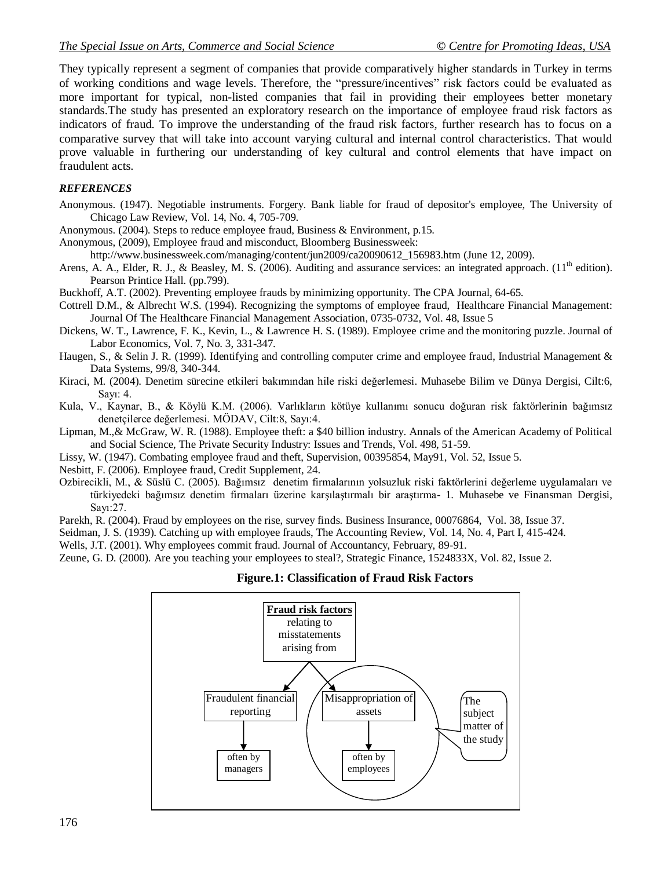They typically represent a segment of companies that provide comparatively higher standards in Turkey in terms of working conditions and wage levels. Therefore, the "pressure/incentives" risk factors could be evaluated as more important for typical, non-listed companies that fail in providing their employees better monetary standards.The study has presented an exploratory research on the importance of employee fraud risk factors as indicators of fraud. To improve the understanding of the fraud risk factors, further research has to focus on a comparative survey that will take into account varying cultural and internal control characteristics. That would prove valuable in furthering our understanding of key cultural and control elements that have impact on fraudulent acts.

### *REFERENCES*

Anonymous. (1947). Negotiable instruments. Forgery. Bank liable for fraud of depositor's employee, The University of Chicago Law Review, Vol. 14, No. 4, 705-709.

Anonymous. (2004). Steps to reduce employee fraud, Business & Environment, p.15.

Anonymous, (2009), Employee fraud and misconduct, Bloomberg Businessweek:

[http://www.businessweek.com/managing/content/jun2009/ca20090612\\_156983.htm](http://www.businessweek.com/managing/content/jun2009/ca20090612_156983.htm) (June 12, 2009).

Arens, A. A., Elder, R. J., & Beasley, M. S. (2006). Auditing and assurance services: an integrated approach. (11<sup>th</sup> edition). Pearson Printice Hall. (pp.799).

Buckhoff, A.T. (2002). Preventing employee frauds by minimizing opportunity. The CPA Journal, 64-65.

Cottrell D.M., & Albrecht W.S. (1994). Recognizing the symptoms of employee fraud, Healthcare Financial Management: Journal Of The Healthcare Financial Management Association, 0735-0732, Vol. 48, Issue 5

Dickens, W. T., Lawrence, F. K., Kevin, L., & Lawrence H. S. (1989). Employee crime and the monitoring puzzle. Journal of Labor Economics, Vol. 7, No. 3, 331-347.

Haugen, S., & Selin J. R. (1999). Identifying and controlling computer crime and employee fraud, Industrial Management & Data Systems, 99/8, 340-344.

Kiraci, M. (2004). Denetim sürecine etkileri bakımından hile riski değerlemesi. Muhasebe Bilim ve Dünya Dergisi, Cilt:6, Sayı: 4.

Kula, V., Kaynar, B., & Köylü K.M. (2006). Varlıkların kötüye kullanımı sonucu doğuran risk faktörlerinin bağımsız denetçilerce değerlemesi. MÖDAV, Cilt:8, Sayı:4.

Lipman, M.,& McGraw, W. R. (1988). Employee theft: a \$40 billion industry. Annals of the American Academy of Political and Social Science, The Private Security Industry: Issues and Trends, Vol. 498, 51-59.

Lissy, W. (1947). Combating employee fraud and theft, Supervision, 00395854, May91, Vol. 52, Issue 5.

Nesbitt, F. (2006). Employee fraud, Credit Supplement, 24.

Ozbirecikli, M., & Süslü C. (2005). Bağımsız denetim firmalarının yolsuzluk riski faktörlerini değerleme uygulamaları ve türkiyedeki bağımsız denetim firmaları üzerine karşılaştırmalı bir araştırma- 1. Muhasebe ve Finansman Dergisi, Sayı:27.

Parekh, R. (2004). Fraud by employees on the rise, survey finds. Business Insurance, 00076864, Vol. 38, Issue 37.

Seidman, J. S. (1939). Catching up with employee frauds, The Accounting Review, Vol. 14, No. 4, Part I, 415-424.

Wells, J.T. (2001). Why employees commit fraud. Journal of Accountancy, February, 89-91.

Zeune, G. D. (2000). Are you teaching your employees to steal?, Strategic Finance, 1524833X, Vol. 82, Issue 2.

#### **Figure.1: Classification of Fraud Risk Factors**

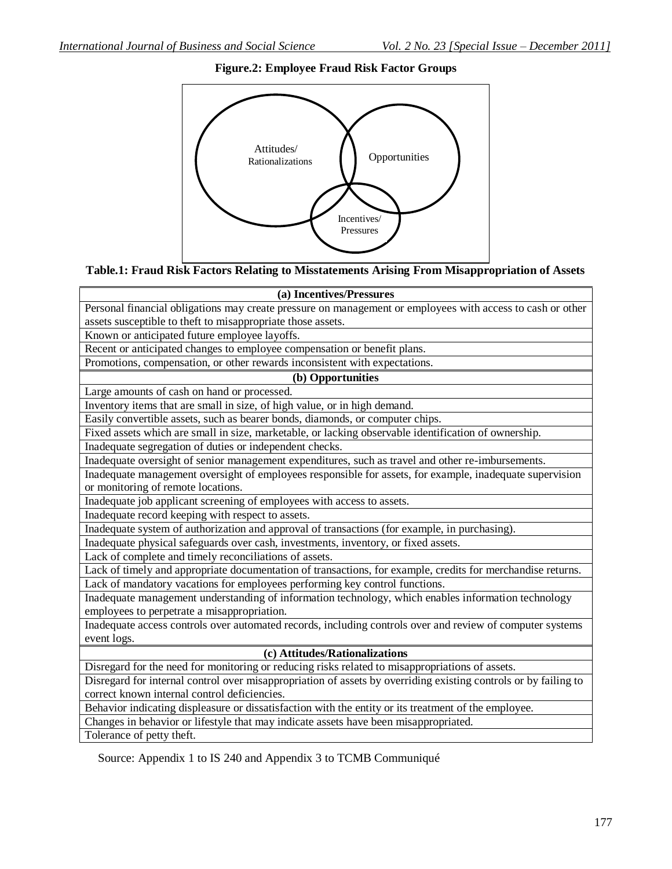**Figure.2: Employee Fraud Risk Factor Groups** 



# **Table.1: Fraud Risk Factors Relating to Misstatements Arising From Misappropriation of Assets**

| (a) Incentives/Pressures                                                                                        |  |  |  |  |
|-----------------------------------------------------------------------------------------------------------------|--|--|--|--|
| Personal financial obligations may create pressure on management or employees with access to cash or other      |  |  |  |  |
| assets susceptible to theft to misappropriate those assets.                                                     |  |  |  |  |
| Known or anticipated future employee layoffs.                                                                   |  |  |  |  |
| Recent or anticipated changes to employee compensation or benefit plans.                                        |  |  |  |  |
| Promotions, compensation, or other rewards inconsistent with expectations.                                      |  |  |  |  |
| (b) Opportunities                                                                                               |  |  |  |  |
| Large amounts of cash on hand or processed.                                                                     |  |  |  |  |
| Inventory items that are small in size, of high value, or in high demand.                                       |  |  |  |  |
| Easily convertible assets, such as bearer bonds, diamonds, or computer chips.                                   |  |  |  |  |
| Fixed assets which are small in size, marketable, or lacking observable identification of ownership.            |  |  |  |  |
| Inadequate segregation of duties or independent checks.                                                         |  |  |  |  |
| Inadequate oversight of senior management expenditures, such as travel and other re-imbursements.               |  |  |  |  |
| Inadequate management oversight of employees responsible for assets, for example, inadequate supervision        |  |  |  |  |
| or monitoring of remote locations.                                                                              |  |  |  |  |
| Inadequate job applicant screening of employees with access to assets.                                          |  |  |  |  |
| Inadequate record keeping with respect to assets.                                                               |  |  |  |  |
| Inadequate system of authorization and approval of transactions (for example, in purchasing).                   |  |  |  |  |
| Inadequate physical safeguards over cash, investments, inventory, or fixed assets.                              |  |  |  |  |
| Lack of complete and timely reconciliations of assets.                                                          |  |  |  |  |
| Lack of timely and appropriate documentation of transactions, for example, credits for merchandise returns.     |  |  |  |  |
| Lack of mandatory vacations for employees performing key control functions.                                     |  |  |  |  |
| Inadequate management understanding of information technology, which enables information technology             |  |  |  |  |
| employees to perpetrate a misappropriation.                                                                     |  |  |  |  |
| Inadequate access controls over automated records, including controls over and review of computer systems       |  |  |  |  |
| event logs.                                                                                                     |  |  |  |  |
| (c) Attitudes/Rationalizations                                                                                  |  |  |  |  |
| Disregard for the need for monitoring or reducing risks related to misappropriations of assets.                 |  |  |  |  |
| Disregard for internal control over misappropriation of assets by overriding existing controls or by failing to |  |  |  |  |
| correct known internal control deficiencies.                                                                    |  |  |  |  |
| Behavior indicating displeasure or dissatisfaction with the entity or its treatment of the employee.            |  |  |  |  |
| Changes in behavior or lifestyle that may indicate assets have been misappropriated.                            |  |  |  |  |
| Tolerance of petty theft.                                                                                       |  |  |  |  |

Source: Appendix 1 to IS 240 and Appendix 3 to TCMB Communiqué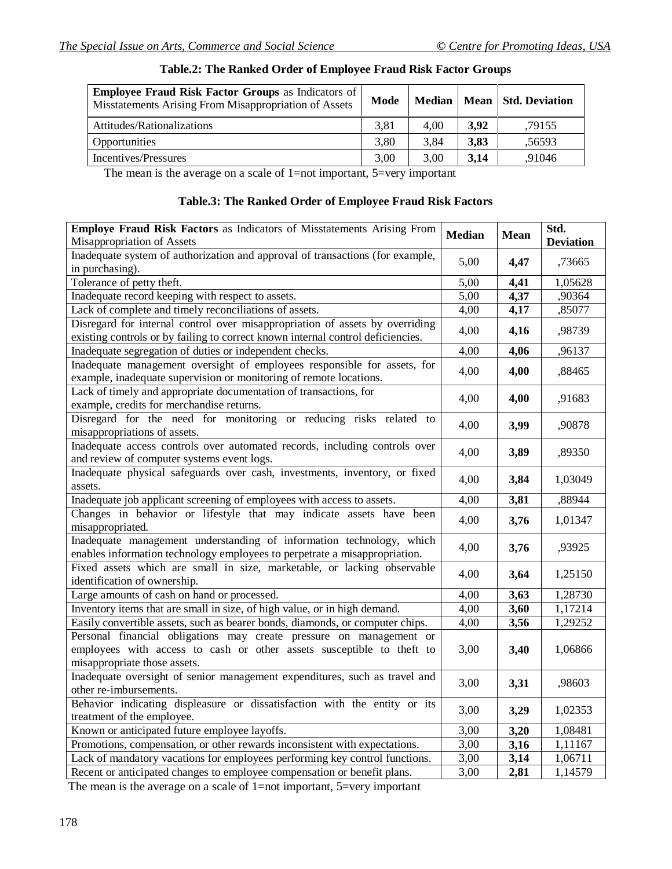| <b>Employee Fraud Risk Factor Groups as Indicators of  </b><br>Misstatements Arising From Misappropriation of Assets |      | Median |      | Mean   Std. Deviation |
|----------------------------------------------------------------------------------------------------------------------|------|--------|------|-----------------------|
| Attitudes/Rationalizations                                                                                           | 3.81 | 4.00   | 3.92 | .79155                |
| Opportunities                                                                                                        | 3,80 | 3.84   | 3,83 | ,56593                |
| Incentives/Pressures                                                                                                 | 3,00 | 3,00   | 3.14 | .91046                |

# **Table.2: The Ranked Order of Employee Fraud Risk Factor Groups**

The mean is the average on a scale of 1=not important, 5=very important

## **Table.3: The Ranked Order of Employee Fraud Risk Factors**

| Employe Fraud Risk Factors as Indicators of Misstatements Arising From<br>Misappropriation of Assets                                                                         |      | Mean | Std.<br><b>Deviation</b> |
|------------------------------------------------------------------------------------------------------------------------------------------------------------------------------|------|------|--------------------------|
| Inadequate system of authorization and approval of transactions (for example,<br>in purchasing).                                                                             | 5,00 | 4,47 | ,73665                   |
| Tolerance of petty theft.                                                                                                                                                    | 5,00 | 4,41 | 1,05628                  |
| Inadequate record keeping with respect to assets.                                                                                                                            | 5,00 | 4,37 | ,90364                   |
| Lack of complete and timely reconciliations of assets.                                                                                                                       | 4,00 | 4,17 | ,85077                   |
| Disregard for internal control over misappropriation of assets by overriding<br>existing controls or by failing to correct known internal control deficiencies.              | 4,00 | 4,16 | ,98739                   |
| Inadequate segregation of duties or independent checks.                                                                                                                      | 4,00 | 4,06 | ,96137                   |
| Inadequate management oversight of employees responsible for assets, for<br>example, inadequate supervision or monitoring of remote locations.                               | 4,00 | 4,00 | ,88465                   |
| Lack of timely and appropriate documentation of transactions, for<br>example, credits for merchandise returns.                                                               | 4,00 | 4,00 | ,91683                   |
| Disregard for the need for monitoring or reducing risks related to<br>misappropriations of assets.                                                                           | 4,00 | 3,99 | ,90878                   |
| Inadequate access controls over automated records, including controls over<br>and review of computer systems event logs.                                                     | 4,00 | 3,89 | ,89350                   |
| Inadequate physical safeguards over cash, investments, inventory, or fixed<br>assets.                                                                                        | 4,00 | 3,84 | 1,03049                  |
| Inadequate job applicant screening of employees with access to assets.                                                                                                       | 4,00 | 3,81 | ,88944                   |
| Changes in behavior or lifestyle that may indicate assets have been<br>misappropriated.                                                                                      | 4,00 | 3,76 | 1,01347                  |
| Inadequate management understanding of information technology, which<br>enables information technology employees to perpetrate a misappropriation.                           |      | 3,76 | ,93925                   |
| Fixed assets which are small in size, marketable, or lacking observable<br>identification of ownership.                                                                      | 4,00 | 3,64 | 1,25150                  |
| Large amounts of cash on hand or processed.                                                                                                                                  | 4,00 | 3,63 | 1,28730                  |
| Inventory items that are small in size, of high value, or in high demand.                                                                                                    | 4,00 | 3,60 | 1,17214                  |
| Easily convertible assets, such as bearer bonds, diamonds, or computer chips.                                                                                                | 4,00 | 3,56 | 1,29252                  |
| Personal financial obligations may create pressure on management or<br>employees with access to cash or other assets susceptible to theft to<br>misappropriate those assets. | 3,00 | 3,40 | 1,06866                  |
| Inadequate oversight of senior management expenditures, such as travel and<br>other re-imbursements.                                                                         | 3,00 | 3,31 | ,98603                   |
| Behavior indicating displeasure or dissatisfaction with the entity or its<br>treatment of the employee.                                                                      |      | 3,29 | 1,02353                  |
| Known or anticipated future employee layoffs.                                                                                                                                |      | 3,20 | 1,08481                  |
| Promotions, compensation, or other rewards inconsistent with expectations.                                                                                                   |      | 3,16 | 1,11167                  |
| Lack of mandatory vacations for employees performing key control functions.                                                                                                  |      | 3,14 | 1,06711                  |
| Recent or anticipated changes to employee compensation or benefit plans.                                                                                                     | 3,00 | 2,81 | 1,14579                  |

The mean is the average on a scale of 1=not important, 5=very important